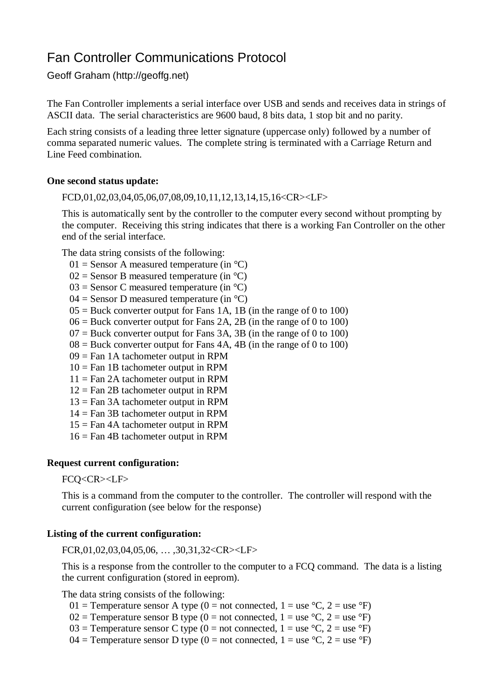# Fan Controller Communications Protocol

Geoff Graham ([http://geoffg.net\)](http://geoffg.net))

The Fan Controller implements a serial interface over USB and sends and receives data in strings of ASCII data. The serial characteristics are 9600 baud, 8 bits data, 1 stop bit and no parity.

Each string consists of a leading three letter signature (uppercase only) followed by a number of comma separated numeric values. The complete string is terminated with a Carriage Return and Line Feed combination.

## **One second status update:**

FCD,01,02,03,04,05,06,07,08,09,10,11,12,13,14,15,16<CR><LF>

This is automatically sent by the controller to the computer every second without prompting by the computer. Receiving this string indicates that there is a working Fan Controller on the other end of the serial interface.

The data string consists of the following:

- $01 =$  Sensor A measured temperature (in  $^{\circ}$ C)
- $02$  = Sensor B measured temperature (in  $°C$ )
- $03$  = Sensor C measured temperature (in  $°C$ )
- $04 =$  Sensor D measured temperature (in  $°C$ )
- $05 =$  Buck converter output for Fans 1A, 1B (in the range of 0 to 100)
- $06 =$  Buck converter output for Fans 2A, 2B (in the range of 0 to 100)
- $07 =$  Buck converter output for Fans 3A, 3B (in the range of 0 to 100)
- $08 =$  Buck converter output for Fans 4A, 4B (in the range of 0 to 100)
- $09$  = Fan 1A tachometer output in RPM
- $10 = \text{Fan } 1B$  tachometer output in RPM
- $11 = \text{Fan } 2\text{A }$  tachometer output in RPM
- $12 = \text{Fan } 2B$  tachometer output in RPM
- 13 = Fan 3A tachometer output in RPM
- $14 = \text{Fan } 3B$  tachometer output in RPM
- $15 =$ Fan 4A tachometer output in RPM
- 16 = Fan 4B tachometer output in RPM

### **Request current configuration:**

### FCQ<CR><LF>

This is a command from the computer to the controller. The controller will respond with the current configuration (see below for the response)

### **Listing of the current configuration:**

FCR,01,02,03,04,05,06, … ,30,31,32<CR><LF>

This is a response from the controller to the computer to a FCQ command. The data is a listing the current configuration (stored in eeprom).

The data string consists of the following:

- 01 = Temperature sensor A type (0 = not connected, 1 = use  $°C$ , 2 = use  $°F$ )
- 02 = Temperature sensor B type (0 = not connected,  $1 =$  use  $°C$ ,  $2 =$  use  $°F$ )
- 03 = Temperature sensor C type (0 = not connected, 1 = use  $°C$ , 2 = use  $°F$ )
- 04 = Temperature sensor D type (0 = not connected,  $1 =$  use  $\degree$ C, 2 = use  $\degree$ F)